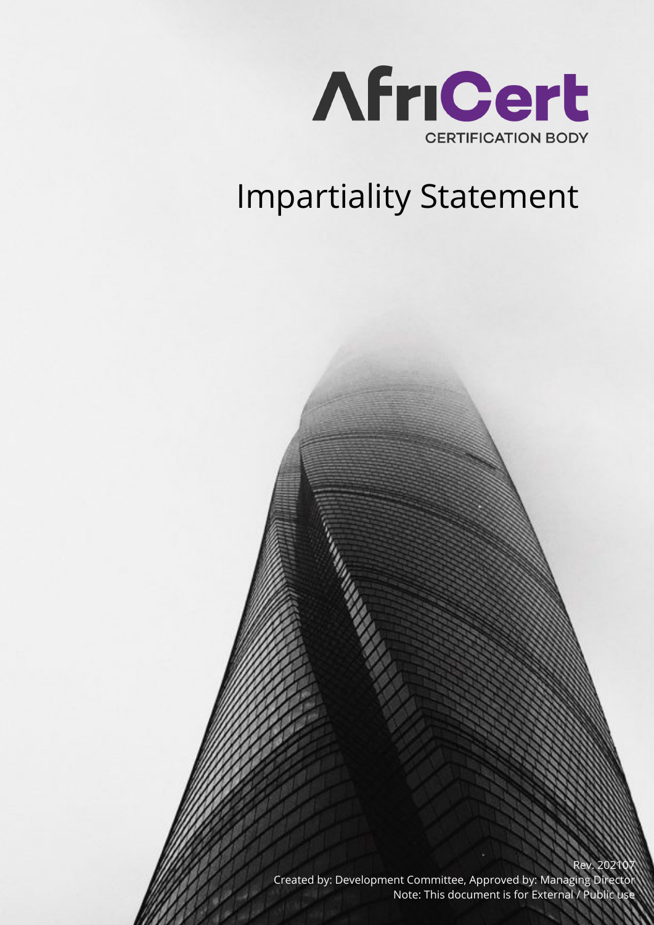

## Impartiality Statement

Rev. 202 Created by: Development Committee, Approved by: Managing Director Note: This document is for External / Public use